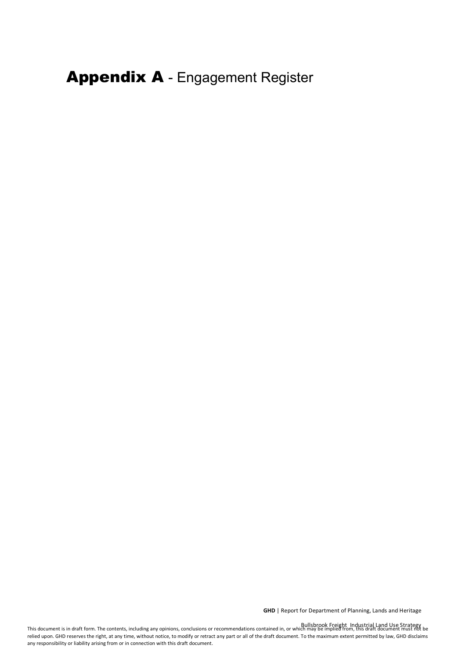Appendix A - Engagement Register

**GHD** | Report for Department of Planning, Lands and Heritage

Bullsbrook Freight Industrial Land Use Strategy<br>This document is in draft form. The contents, including any opinions, conclusions or recommendations contained in, or which may be implied from, this draft document must not relied upon. GHD reserves the right, at any time, without notice, to modify or retract any part or all of the draft document. To the maximum extent permitted by law, GHD disclaims any responsibility or liability arising from or in connection with this draft document.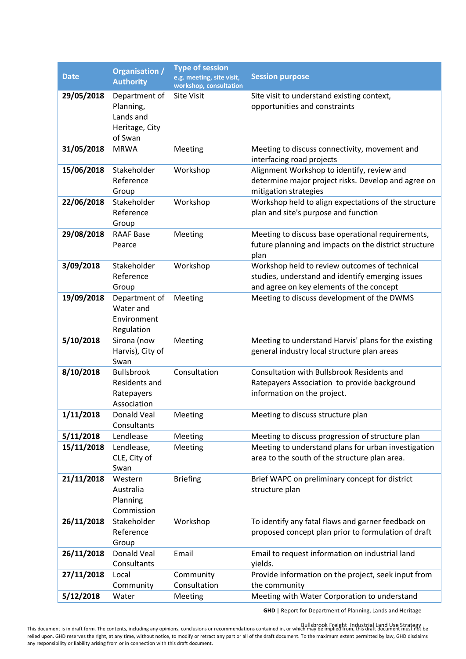| <b>Date</b> | <b>Organisation /</b><br><b>Authority</b>                            | <b>Type of session</b><br>e.g. meeting, site visit,<br>workshop, consultation | <b>Session purpose</b>                                                                                                                        |
|-------------|----------------------------------------------------------------------|-------------------------------------------------------------------------------|-----------------------------------------------------------------------------------------------------------------------------------------------|
| 29/05/2018  | Department of<br>Planning,<br>Lands and<br>Heritage, City<br>of Swan | <b>Site Visit</b>                                                             | Site visit to understand existing context,<br>opportunities and constraints                                                                   |
| 31/05/2018  | <b>MRWA</b>                                                          | Meeting                                                                       | Meeting to discuss connectivity, movement and<br>interfacing road projects                                                                    |
| 15/06/2018  | Stakeholder<br>Reference<br>Group                                    | Workshop                                                                      | Alignment Workshop to identify, review and<br>determine major project risks. Develop and agree on<br>mitigation strategies                    |
| 22/06/2018  | Stakeholder<br>Reference<br>Group                                    | Workshop                                                                      | Workshop held to align expectations of the structure<br>plan and site's purpose and function                                                  |
| 29/08/2018  | <b>RAAF Base</b><br>Pearce                                           | Meeting                                                                       | Meeting to discuss base operational requirements,<br>future planning and impacts on the district structure<br>plan                            |
| 3/09/2018   | Stakeholder<br>Reference<br>Group                                    | Workshop                                                                      | Workshop held to review outcomes of technical<br>studies, understand and identify emerging issues<br>and agree on key elements of the concept |
| 19/09/2018  | Department of<br>Water and<br>Environment<br>Regulation              | Meeting                                                                       | Meeting to discuss development of the DWMS                                                                                                    |
| 5/10/2018   | Sirona (now<br>Harvis), City of<br>Swan                              | Meeting                                                                       | Meeting to understand Harvis' plans for the existing<br>general industry local structure plan areas                                           |
| 8/10/2018   | <b>Bullsbrook</b><br>Residents and<br>Ratepayers<br>Association      | Consultation                                                                  | Consultation with Bullsbrook Residents and<br>Ratepayers Association to provide background<br>information on the project.                     |
| 1/11/2018   | Donald Veal<br>Consultants                                           | Meeting                                                                       | Meeting to discuss structure plan                                                                                                             |
| 5/11/2018   | Lendlease                                                            | Meeting                                                                       | Meeting to discuss progression of structure plan                                                                                              |
| 15/11/2018  | Lendlease,<br>CLE, City of<br>Swan                                   | Meeting                                                                       | Meeting to understand plans for urban investigation<br>area to the south of the structure plan area.                                          |
| 21/11/2018  | Western<br>Australia<br>Planning<br>Commission                       | <b>Briefing</b>                                                               | Brief WAPC on preliminary concept for district<br>structure plan                                                                              |
| 26/11/2018  | Stakeholder<br>Reference<br>Group                                    | Workshop                                                                      | To identify any fatal flaws and garner feedback on<br>proposed concept plan prior to formulation of draft                                     |
| 26/11/2018  | Donald Veal<br>Consultants                                           | Email                                                                         | Email to request information on industrial land<br>yields.                                                                                    |
| 27/11/2018  | Local<br>Community                                                   | Community<br>Consultation                                                     | Provide information on the project, seek input from<br>the community                                                                          |
| 5/12/2018   | Water                                                                | Meeting                                                                       | Meeting with Water Corporation to understand                                                                                                  |

**GHD** | Report for Department of Planning, Lands and Heritage

This document is in draft form. The contents, including any opinions, conclusions or recommendations contained in, or which may be implied from, this draft document must not be relied upon. GHD reserves the right, at any time, without notice, to modify or retract any part or all of the draft document. To the maximum extent permitted by law, GHD disclaims any responsibility or liability arising from or in connection with this draft document. Bullsbrook Freight Industrial Land Use Strategy